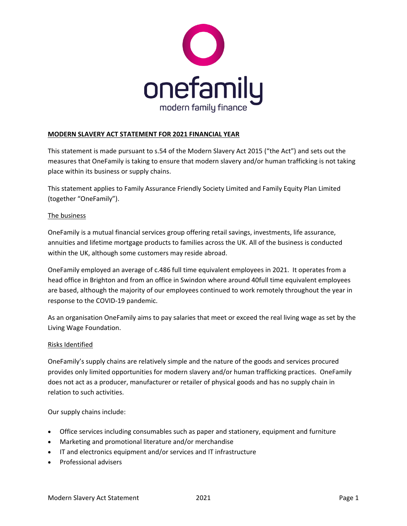

# **MODERN SLAVERY ACT STATEMENT FOR 2021 FINANCIAL YEAR**

This statement is made pursuant to s.54 of the Modern Slavery Act 2015 ("the Act") and sets out the measures that OneFamily is taking to ensure that modern slavery and/or human trafficking is not taking place within its business or supply chains.

This statement applies to Family Assurance Friendly Society Limited and Family Equity Plan Limited (together "OneFamily").

#### The business

OneFamily is a mutual financial services group offering retail savings, investments, life assurance, annuities and lifetime mortgage products to families across the UK. All of the business is conducted within the UK, although some customers may reside abroad.

OneFamily employed an average of c.486 full time equivalent employees in 2021. It operates from a head office in Brighton and from an office in Swindon where around 40full time equivalent employees are based, although the majority of our employees continued to work remotely throughout the year in response to the COVID-19 pandemic.

As an organisation OneFamily aims to pay salaries that meet or exceed the real living wage as set by the Living Wage Foundation.

#### Risks Identified

OneFamily's supply chains are relatively simple and the nature of the goods and services procured provides only limited opportunities for modern slavery and/or human trafficking practices. OneFamily does not act as a producer, manufacturer or retailer of physical goods and has no supply chain in relation to such activities.

Our supply chains include:

- Office services including consumables such as paper and stationery, equipment and furniture
- Marketing and promotional literature and/or merchandise
- IT and electronics equipment and/or services and IT infrastructure
- Professional advisers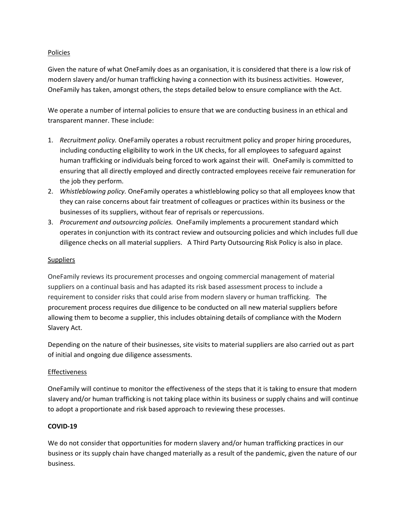### Policies

Given the nature of what OneFamily does as an organisation, it is considered that there is a low risk of modern slavery and/or human trafficking having a connection with its business activities. However, OneFamily has taken, amongst others, the steps detailed below to ensure compliance with the Act.

We operate a number of internal policies to ensure that we are conducting business in an ethical and transparent manner. These include:

- 1. *Recruitment policy.* OneFamily operates a robust recruitment policy and proper hiring procedures, including conducting eligibility to work in the UK checks, for all employees to safeguard against human trafficking or individuals being forced to work against their will. OneFamily is committed to ensuring that all directly employed and directly contracted employees receive fair remuneration for the job they perform.
- 2. *Whistleblowing policy.* OneFamily operates a whistleblowing policy so that all employees know that they can raise concerns about fair treatment of colleagues or practices within its business or the businesses of its suppliers, without fear of reprisals or repercussions.
- 3. *Procurement and outsourcing policies.* OneFamily implements a procurement standard which operates in conjunction with its contract review and outsourcing policies and which includes full due diligence checks on all material suppliers. A Third Party Outsourcing Risk Policy is also in place.

# **Suppliers**

OneFamily reviews its procurement processes and ongoing commercial management of material suppliers on a continual basis and has adapted its risk based assessment process to include a requirement to consider risks that could arise from modern slavery or human trafficking. The procurement process requires due diligence to be conducted on all new material suppliers before allowing them to become a supplier, this includes obtaining details of compliance with the Modern Slavery Act.

Depending on the nature of their businesses, site visits to material suppliers are also carried out as part of initial and ongoing due diligence assessments.

### Effectiveness

OneFamily will continue to monitor the effectiveness of the steps that it is taking to ensure that modern slavery and/or human trafficking is not taking place within its business or supply chains and will continue to adopt a proportionate and risk based approach to reviewing these processes.

### **COVID-19**

We do not consider that opportunities for modern slavery and/or human trafficking practices in our business or its supply chain have changed materially as a result of the pandemic, given the nature of our business.